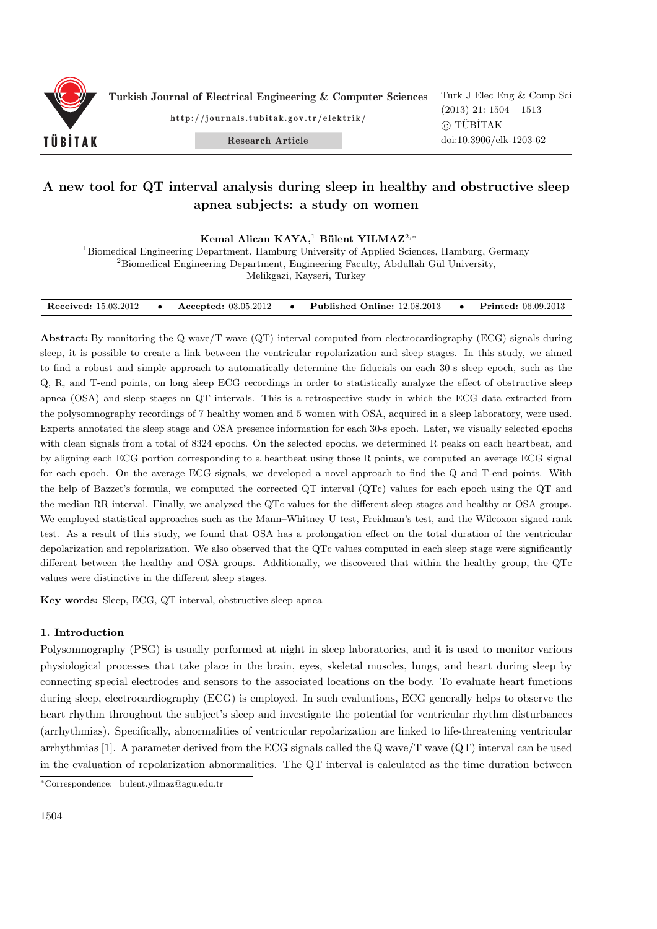

Turkish Journal of Electrical Engineering & Computer Sciences http://journals.tubitak.gov.tr/elektrik/

Research Article

# **A new tool for QT interval analysis during sleep in healthy and obstructive sleep apnea subjects: a study on women**

**Kemal Alican KAYA,**<sup>1</sup> **B¨ulent YILMAZ**<sup>2</sup>*,<sup>∗</sup>*

<sup>1</sup>Biomedical Engineering Department, Hamburg University of Applied Sciences, Hamburg, Germany <sup>2</sup>Biomedical Engineering Department, Engineering Faculty, Abdullah Gül University,

Melikgazi, Kayseri, Turkey

| <b>Received:</b> 15.03.2012 |  | <b>Accepted:</b> 03.05.2012 |  | Published Online: 12.08.2013 |  | <b>Printed:</b> 06.09.2013 |
|-----------------------------|--|-----------------------------|--|------------------------------|--|----------------------------|
|-----------------------------|--|-----------------------------|--|------------------------------|--|----------------------------|

**Abstract:** By monitoring the Q wave/T wave (QT) interval computed from electrocardiography (ECG) signals during sleep, it is possible to create a link between the ventricular repolarization and sleep stages. In this study, we aimed to find a robust and simple approach to automatically determine the fiducials on each 30-s sleep epoch, such as the Q, R, and T-end points, on long sleep ECG recordings in order to statistically analyze the effect of obstructive sleep apnea (OSA) and sleep stages on QT intervals. This is a retrospective study in which the ECG data extracted from the polysomnography recordings of 7 healthy women and 5 women with OSA, acquired in a sleep laboratory, were used. Experts annotated the sleep stage and OSA presence information for each 30-s epoch. Later, we visually selected epochs with clean signals from a total of 8324 epochs. On the selected epochs, we determined R peaks on each heartbeat, and by aligning each ECG portion corresponding to a heartbeat using those R points, we computed an average ECG signal for each epoch. On the average ECG signals, we developed a novel approach to find the Q and T-end points. With the help of Bazzet's formula, we computed the corrected QT interval (QTc) values for each epoch using the QT and the median RR interval. Finally, we analyzed the QTc values for the different sleep stages and healthy or OSA groups. We employed statistical approaches such as the Mann–Whitney U test, Freidman's test, and the Wilcoxon signed-rank test. As a result of this study, we found that OSA has a prolongation effect on the total duration of the ventricular depolarization and repolarization. We also observed that the QTc values computed in each sleep stage were significantly different between the healthy and OSA groups. Additionally, we discovered that within the healthy group, the QTc values were distinctive in the different sleep stages.

**Key words:** Sleep, ECG, QT interval, obstructive sleep apnea

# **1. Introduction**

Polysomnography (PSG) is usually performed at night in sleep laboratories, and it is used to monitor various physiological processes that take place in the brain, eyes, skeletal muscles, lungs, and heart during sleep by connecting special electrodes and sensors to the associated locations on the body. To evaluate heart functions during sleep, electrocardiography (ECG) is employed. In such evaluations, ECG generally helps to observe the heart rhythm throughout the subject's sleep and investigate the potential for ventricular rhythm disturbances (arrhythmias). Specifically, abnormalities of ventricular repolarization are linked to life-threatening ventricular arrhythmias [1]. A parameter derived from the ECG signals called the Q wave/T wave (QT) interval can be used in the evaluation of repolarization abnormalities. The QT interval is calculated as the time duration between

*<sup>∗</sup>*Correspondence: bulent.yilmaz@agu.edu.tr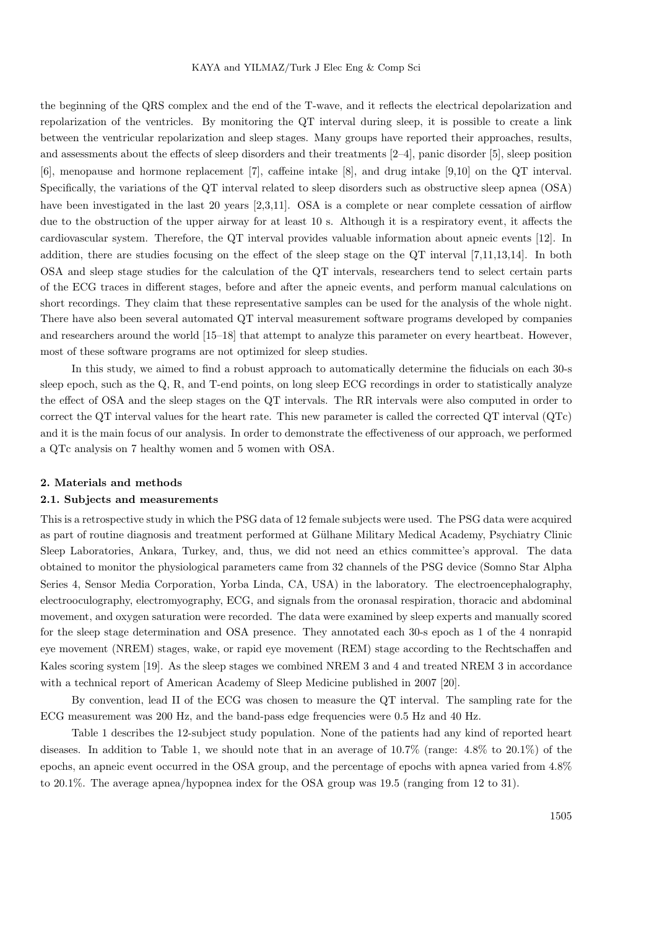the beginning of the QRS complex and the end of the T-wave, and it reflects the electrical depolarization and repolarization of the ventricles. By monitoring the QT interval during sleep, it is possible to create a link between the ventricular repolarization and sleep stages. Many groups have reported their approaches, results, and assessments about the effects of sleep disorders and their treatments [2–4], panic disorder [5], sleep position [6], menopause and hormone replacement [7], caffeine intake [8], and drug intake [9,10] on the QT interval. Specifically, the variations of the QT interval related to sleep disorders such as obstructive sleep apnea (OSA) have been investigated in the last 20 years [2,3,11]. OSA is a complete or near complete cessation of airflow due to the obstruction of the upper airway for at least 10 s. Although it is a respiratory event, it affects the cardiovascular system. Therefore, the QT interval provides valuable information about apneic events [12]. In addition, there are studies focusing on the effect of the sleep stage on the QT interval [7,11,13,14]. In both OSA and sleep stage studies for the calculation of the QT intervals, researchers tend to select certain parts of the ECG traces in different stages, before and after the apneic events, and perform manual calculations on short recordings. They claim that these representative samples can be used for the analysis of the whole night. There have also been several automated QT interval measurement software programs developed by companies and researchers around the world [15–18] that attempt to analyze this parameter on every heartbeat. However, most of these software programs are not optimized for sleep studies.

In this study, we aimed to find a robust approach to automatically determine the fiducials on each 30-s sleep epoch, such as the Q, R, and T-end points, on long sleep ECG recordings in order to statistically analyze the effect of OSA and the sleep stages on the QT intervals. The RR intervals were also computed in order to correct the QT interval values for the heart rate. This new parameter is called the corrected QT interval (QTc) and it is the main focus of our analysis. In order to demonstrate the effectiveness of our approach, we performed a QTc analysis on 7 healthy women and 5 women with OSA.

#### **2. Materials and methods**

# **2.1. Subjects and measurements**

This is a retrospective study in which the PSG data of 12 female subjects were used. The PSG data were acquired as part of routine diagnosis and treatment performed at Gülhane Military Medical Academy, Psychiatry Clinic Sleep Laboratories, Ankara, Turkey, and, thus, we did not need an ethics committee's approval. The data obtained to monitor the physiological parameters came from 32 channels of the PSG device (Somno Star Alpha Series 4, Sensor Media Corporation, Yorba Linda, CA, USA) in the laboratory. The electroencephalography, electrooculography, electromyography, ECG, and signals from the oronasal respiration, thoracic and abdominal movement, and oxygen saturation were recorded. The data were examined by sleep experts and manually scored for the sleep stage determination and OSA presence. They annotated each 30-s epoch as 1 of the 4 nonrapid eye movement (NREM) stages, wake, or rapid eye movement (REM) stage according to the Rechtschaffen and Kales scoring system [19]. As the sleep stages we combined NREM 3 and 4 and treated NREM 3 in accordance with a technical report of American Academy of Sleep Medicine published in 2007 [20].

By convention, lead II of the ECG was chosen to measure the QT interval. The sampling rate for the ECG measurement was 200 Hz, and the band-pass edge frequencies were 0.5 Hz and 40 Hz.

Table 1 describes the 12-subject study population. None of the patients had any kind of reported heart diseases. In addition to Table 1, we should note that in an average of 10.7% (range: 4.8% to 20.1%) of the epochs, an apneic event occurred in the OSA group, and the percentage of epochs with apnea varied from 4.8% to 20.1%. The average apnea/hypopnea index for the OSA group was 19.5 (ranging from 12 to 31).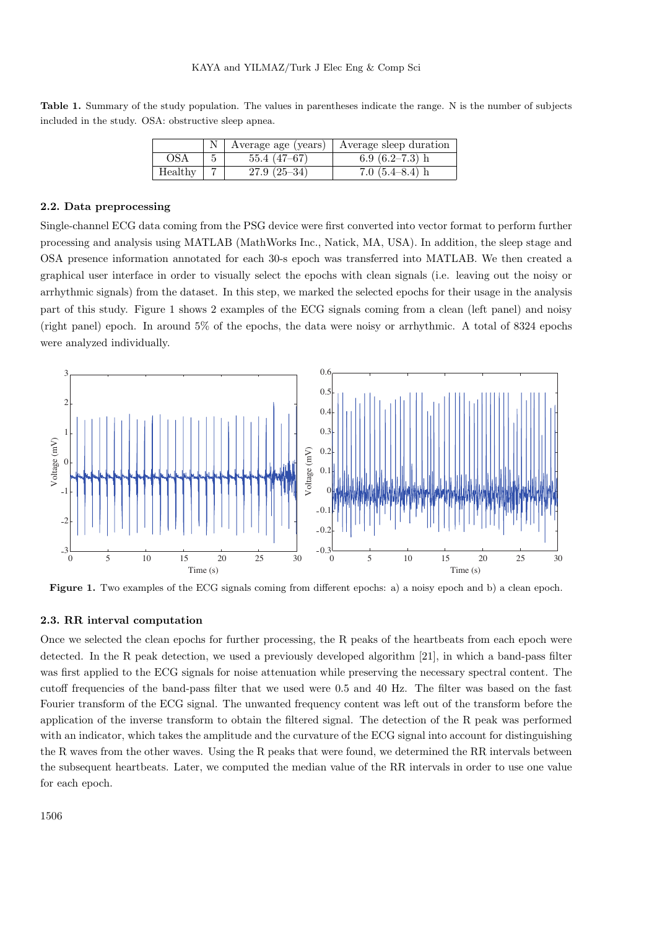**Table 1.** Summary of the study population. The values in parentheses indicate the range. N is the number of subjects included in the study. OSA: obstructive sleep apnea.

|         |   | Average age (years) | Average sleep duration |
|---------|---|---------------------|------------------------|
| OSA     | 5 | $55.4(47-67)$       | 6.9 $(6.2–7.3)$ h      |
| Healthy |   | $27.9(25-34)$       | 7.0 $(5.4–8.4)$ h      |

#### **2.2. Data preprocessing**

Single-channel ECG data coming from the PSG device were first converted into vector format to perform further processing and analysis using MATLAB (MathWorks Inc., Natick, MA, USA). In addition, the sleep stage and OSA presence information annotated for each 30-s epoch was transferred into MATLAB. We then created a graphical user interface in order to visually select the epochs with clean signals (i.e. leaving out the noisy or arrhythmic signals) from the dataset. In this step, we marked the selected epochs for their usage in the analysis part of this study. Figure 1 shows 2 examples of the ECG signals coming from a clean (left panel) and noisy (right panel) epoch. In around 5% of the epochs, the data were noisy or arrhythmic. A total of 8324 epochs were analyzed individually.



Figure 1. Two examples of the ECG signals coming from different epochs: a) a noisy epoch and b) a clean epoch.

# **2.3. RR interval computation**

Once we selected the clean epochs for further processing, the R peaks of the heartbeats from each epoch were detected. In the R peak detection, we used a previously developed algorithm [21], in which a band-pass filter was first applied to the ECG signals for noise attenuation while preserving the necessary spectral content. The cutoff frequencies of the band-pass filter that we used were 0.5 and 40 Hz. The filter was based on the fast Fourier transform of the ECG signal. The unwanted frequency content was left out of the transform before the application of the inverse transform to obtain the filtered signal. The detection of the R peak was performed with an indicator, which takes the amplitude and the curvature of the ECG signal into account for distinguishing the R waves from the other waves. Using the R peaks that were found, we determined the RR intervals between the subsequent heartbeats. Later, we computed the median value of the RR intervals in order to use one value for each epoch.

1506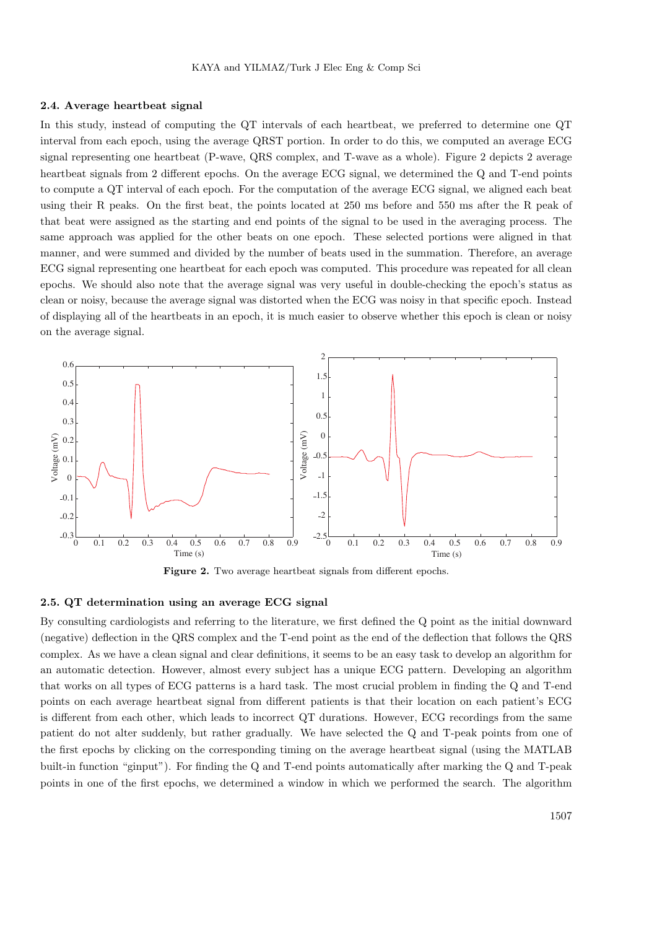#### **2.4. Average heartbeat signal**

In this study, instead of computing the QT intervals of each heartbeat, we preferred to determine one QT interval from each epoch, using the average QRST portion. In order to do this, we computed an average ECG signal representing one heartbeat (P-wave, QRS complex, and T-wave as a whole). Figure 2 depicts 2 average heartbeat signals from 2 different epochs. On the average ECG signal, we determined the Q and T-end points to compute a QT interval of each epoch. For the computation of the average ECG signal, we aligned each beat using their R peaks. On the first beat, the points located at 250 ms before and 550 ms after the R peak of that beat were assigned as the starting and end points of the signal to be used in the averaging process. The same approach was applied for the other beats on one epoch. These selected portions were aligned in that manner, and were summed and divided by the number of beats used in the summation. Therefore, an average ECG signal representing one heartbeat for each epoch was computed. This procedure was repeated for all clean epochs. We should also note that the average signal was very useful in double-checking the epoch's status as clean or noisy, because the average signal was distorted when the ECG was noisy in that specific epoch. Instead of displaying all of the heartbeats in an epoch, it is much easier to observe whether this epoch is clean or noisy on the average signal.



**Figure 2.** Two average heartbeat signals from different epochs.

# **2.5. QT determination using an average ECG signal**

By consulting cardiologists and referring to the literature, we first defined the Q point as the initial downward (negative) deflection in the QRS complex and the T-end point as the end of the deflection that follows the QRS complex. As we have a clean signal and clear definitions, it seems to be an easy task to develop an algorithm for an automatic detection. However, almost every subject has a unique ECG pattern. Developing an algorithm that works on all types of ECG patterns is a hard task. The most crucial problem in finding the Q and T-end points on each average heartbeat signal from different patients is that their location on each patient's ECG is different from each other, which leads to incorrect QT durations. However, ECG recordings from the same patient do not alter suddenly, but rather gradually. We have selected the Q and T-peak points from one of the first epochs by clicking on the corresponding timing on the average heartbeat signal (using the MATLAB built-in function "ginput"). For finding the Q and T-end points automatically after marking the Q and T-peak points in one of the first epochs, we determined a window in which we performed the search. The algorithm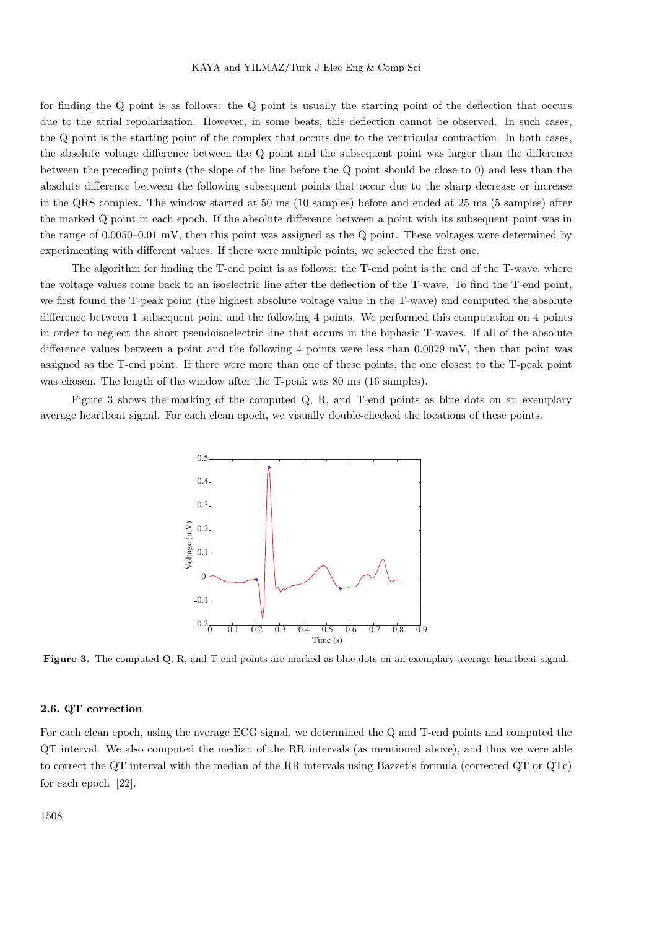for finding the Q point is as follows: the Q point is usually the starting point of the deflection that occurs due to the atrial repolarization. However, in some beats, this deflection cannot be observed. In such cases, the Q point is the starting point of the complex that occurs due to the ventricular contraction. In both cases, the absolute voltage difference between the Q point and the subsequent point was larger than the difference between the preceding points (the slope of the line before the Q point should be close to 0) and less than the absolute difference between the following subsequent points that occur due to the sharp decrease or increase in the QRS complex. The window started at 50 ms (10 samples) before and ended at 25 ms (5 samples) after the marked Q point in each epoch. If the absolute difference between a point with its subsequent point was in the range of 0.0050–0.01 mV, then this point was assigned as the Q point. These voltages were determined by experimenting with different values. If there were multiple points, we selected the first one.

The algorithm for finding the T-end point is as follows: the T-end point is the end of the T-wave, where the voltage values come back to an isoelectric line after the deflection of the T-wave. To find the T-end point, we first found the T-peak point (the highest absolute voltage value in the T-wave) and computed the absolute difference between 1 subsequent point and the following 4 points. We performed this computation on 4 points in order to neglect the short pseudoisoelectric line that occurs in the biphasic T-waves. If all of the absolute difference values between a point and the following 4 points were less than 0.0029 mV, then that point was assigned as the T-end point. If there were more than one of these points, the one closest to the T-peak point was chosen. The length of the window after the T-peak was 80 ms (16 samples).

Figure 3 shows the marking of the computed Q, R, and T-end points as blue dots on an exemplary average heartbeat signal. For each clean epoch, we visually double-checked the locations of these points.



**Figure 3.** The computed Q, R, and T-end points are marked as blue dots on an exemplary average heartbeat signal.

#### **2.6. QT correction**

For each clean epoch, using the average ECG signal, we determined the Q and T-end points and computed the QT interval. We also computed the median of the RR intervals (as mentioned above), and thus we were able to correct the QT interval with the median of the RR intervals using Bazzet's formula (corrected QT or QTc) for each epoch [22].

1508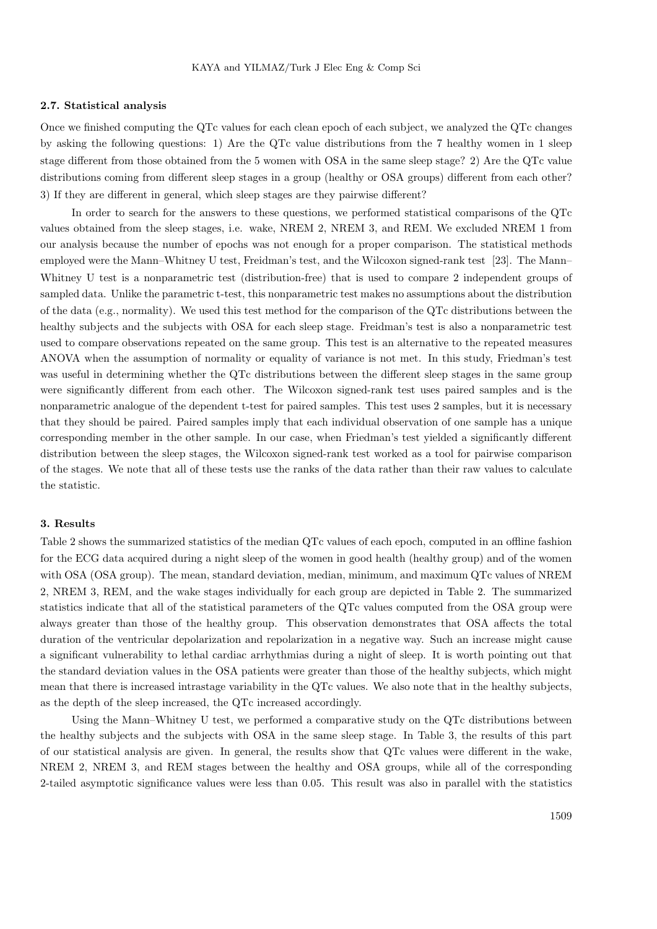## **2.7. Statistical analysis**

Once we finished computing the QTc values for each clean epoch of each subject, we analyzed the QTc changes by asking the following questions: 1) Are the QTc value distributions from the 7 healthy women in 1 sleep stage different from those obtained from the 5 women with OSA in the same sleep stage? 2) Are the QTc value distributions coming from different sleep stages in a group (healthy or OSA groups) different from each other? 3) If they are different in general, which sleep stages are they pairwise different?

In order to search for the answers to these questions, we performed statistical comparisons of the QTc values obtained from the sleep stages, i.e. wake, NREM 2, NREM 3, and REM. We excluded NREM 1 from our analysis because the number of epochs was not enough for a proper comparison. The statistical methods employed were the Mann–Whitney U test, Freidman's test, and the Wilcoxon signed-rank test [23]. The Mann– Whitney U test is a nonparametric test (distribution-free) that is used to compare 2 independent groups of sampled data. Unlike the parametric t-test, this nonparametric test makes no assumptions about the distribution of the data (e.g., normality). We used this test method for the comparison of the QTc distributions between the healthy subjects and the subjects with OSA for each sleep stage. Freidman's test is also a nonparametric test used to compare observations repeated on the same group. This test is an alternative to the repeated measures ANOVA when the assumption of normality or equality of variance is not met. In this study, Friedman's test was useful in determining whether the QTc distributions between the different sleep stages in the same group were significantly different from each other. The Wilcoxon signed-rank test uses paired samples and is the nonparametric analogue of the dependent t-test for paired samples. This test uses 2 samples, but it is necessary that they should be paired. Paired samples imply that each individual observation of one sample has a unique corresponding member in the other sample. In our case, when Friedman's test yielded a significantly different distribution between the sleep stages, the Wilcoxon signed-rank test worked as a tool for pairwise comparison of the stages. We note that all of these tests use the ranks of the data rather than their raw values to calculate the statistic.

# **3. Results**

Table 2 shows the summarized statistics of the median QTc values of each epoch, computed in an offline fashion for the ECG data acquired during a night sleep of the women in good health (healthy group) and of the women with OSA (OSA group). The mean, standard deviation, median, minimum, and maximum QTc values of NREM 2, NREM 3, REM, and the wake stages individually for each group are depicted in Table 2. The summarized statistics indicate that all of the statistical parameters of the QTc values computed from the OSA group were always greater than those of the healthy group. This observation demonstrates that OSA affects the total duration of the ventricular depolarization and repolarization in a negative way. Such an increase might cause a significant vulnerability to lethal cardiac arrhythmias during a night of sleep. It is worth pointing out that the standard deviation values in the OSA patients were greater than those of the healthy subjects, which might mean that there is increased intrastage variability in the QTc values. We also note that in the healthy subjects, as the depth of the sleep increased, the QTc increased accordingly.

Using the Mann–Whitney U test, we performed a comparative study on the QTc distributions between the healthy subjects and the subjects with OSA in the same sleep stage. In Table 3, the results of this part of our statistical analysis are given. In general, the results show that QTc values were different in the wake, NREM 2, NREM 3, and REM stages between the healthy and OSA groups, while all of the corresponding 2-tailed asymptotic significance values were less than 0.05. This result was also in parallel with the statistics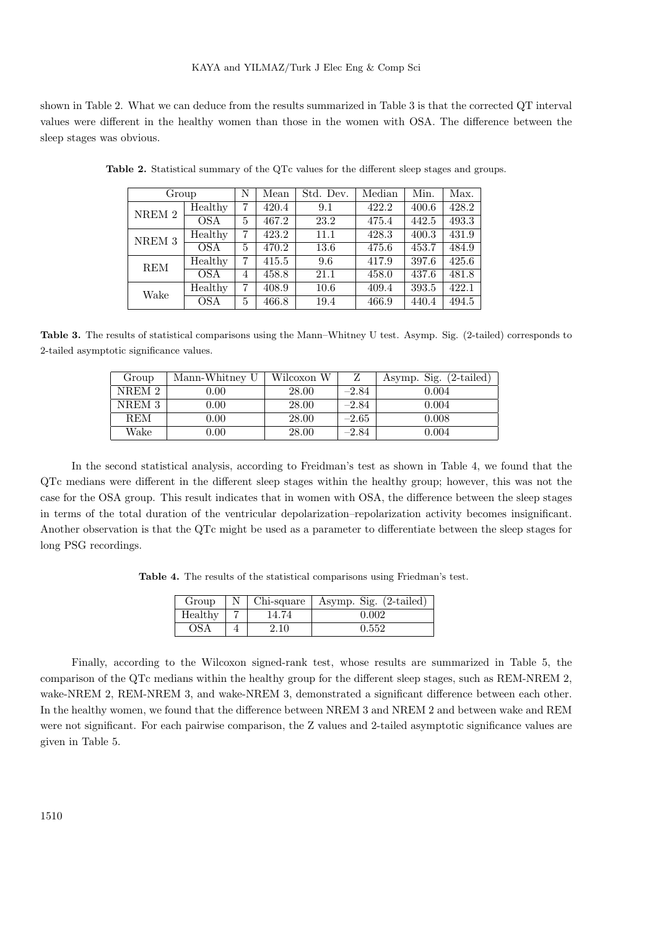shown in Table 2. What we can deduce from the results summarized in Table 3 is that the corrected QT interval values were different in the healthy women than those in the women with OSA. The difference between the sleep stages was obvious.

| Group             |                             | N | Mean  | Std. Dev. | Median | Min.  | Max.               |
|-------------------|-----------------------------|---|-------|-----------|--------|-------|--------------------|
| $\rm NREM$ 2      | Healthy                     | 7 | 420.4 | 9.1       | 422.2  | 400.6 | 428.2              |
|                   | <b>OSA</b>                  | 5 | 467.2 | 23.2      | 475.4  | 442.5 | 493.3              |
| NREM <sub>3</sub> | $\overline{\text{Healthy}}$ | 7 | 423.2 | 11.1      | 428.3  | 400.3 | 431.9              |
|                   | $\overline{\text{OSA}}$     | 5 | 470.2 | 13.6      | 475.6  | 453.7 | 484.9              |
| <b>REM</b>        | Healthy                     | 7 | 415.5 | 9.6       | 417.9  | 397.6 | 425.6              |
|                   | <b>OSA</b>                  | 4 | 458.8 | 21.1      | 458.0  | 437.6 | $\overline{481.8}$ |
| Wake              | Healthy                     | 7 | 408.9 | 10.6      | 409.4  | 393.5 | 422.1              |
|                   | <b>OSA</b>                  | 5 | 466.8 | 19.4      | 466.9  | 440.4 | 494.5              |

**Table 2.** Statistical summary of the QTc values for the different sleep stages and groups.

**Table 3.** The results of statistical comparisons using the Mann–Whitney U test. Asymp. Sig. (2-tailed) corresponds to 2-tailed asymptotic significance values.

| Group      | Mann-Whitney U | Wilcoxon W |         | Asymp. Sig. (2-tailed) |
|------------|----------------|------------|---------|------------------------|
| NREM 2     | $0.00\,$       | 28.00      | $-2.84$ | 0.004                  |
| NREM 3     | $0.00\,$       | 28.00      | $-2.84$ | 0.004                  |
| <b>REM</b> | $0.00\,$       | 28.00      | $-2.65$ | 0.008                  |
| Wake       | $0.00\,$       | 28.00      | $-2.84$ | 0.004                  |

In the second statistical analysis, according to Freidman's test as shown in Table 4, we found that the QTc medians were different in the different sleep stages within the healthy group; however, this was not the case for the OSA group. This result indicates that in women with OSA, the difference between the sleep stages in terms of the total duration of the ventricular depolarization–repolarization activity becomes insignificant. Another observation is that the QTc might be used as a parameter to differentiate between the sleep stages for long PSG recordings.

**Table 4.** The results of the statistical comparisons using Friedman's test.

| Group      | $N \mid$ Chi-square | Asymp. Sig. $(2$ -tailed) |
|------------|---------------------|---------------------------|
| Healthy    | 14.74               | 0.002                     |
| <b>OSA</b> | 2.10                | 0.552                     |

Finally, according to the Wilcoxon signed-rank test, whose results are summarized in Table 5, the comparison of the QTc medians within the healthy group for the different sleep stages, such as REM-NREM 2, wake-NREM 2, REM-NREM 3, and wake-NREM 3, demonstrated a significant difference between each other. In the healthy women, we found that the difference between NREM 3 and NREM 2 and between wake and REM were not significant. For each pairwise comparison, the Z values and 2-tailed asymptotic significance values are given in Table 5.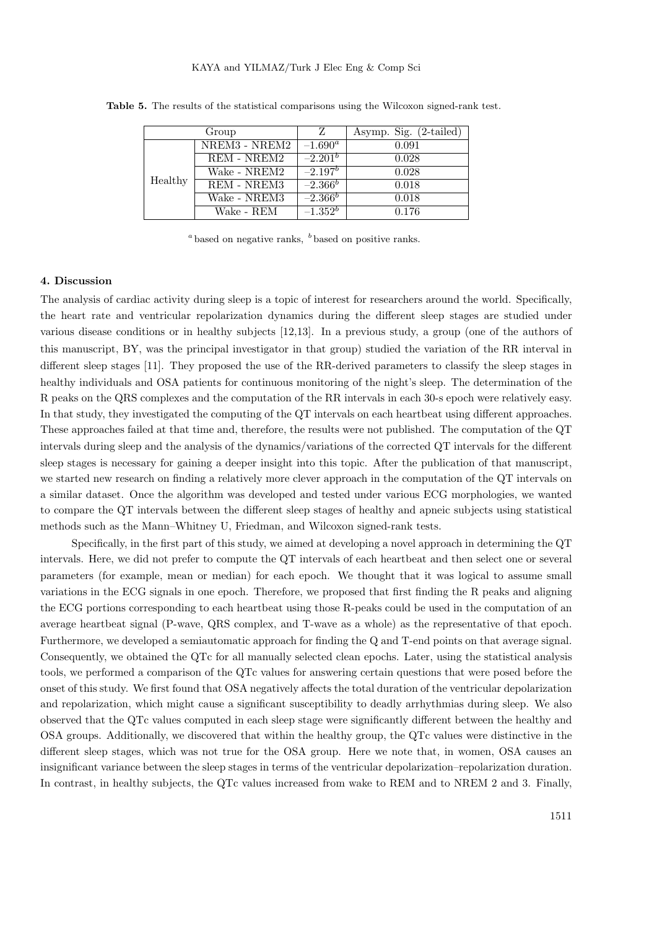#### KAYA and YILMAZ/Turk J Elec Eng & Comp Sci

|         | Group         | Z          | Asymp. Sig. (2-tailed) |
|---------|---------------|------------|------------------------|
| Healthy | NREM3 - NREM2 | $-1.690^a$ | 0.091                  |
|         | REM - NREM2   | $-2.201^b$ | 0.028                  |
|         | Wake - NREM2  | $-2.197^b$ | 0.028                  |
|         | REM - NREM3   | $-2.366^b$ | 0.018                  |
|         | Wake - NREM3  | $-2.366^b$ | 0.018                  |
|         | Wake - REM    | $-1.352^b$ | 0.176                  |

**Table 5.** The results of the statistical comparisons using the Wilcoxon signed-rank test.

*<sup>a</sup>* based on negative ranks, *<sup>b</sup>* based on positive ranks.

#### **4. Discussion**

The analysis of cardiac activity during sleep is a topic of interest for researchers around the world. Specifically, the heart rate and ventricular repolarization dynamics during the different sleep stages are studied under various disease conditions or in healthy subjects [12,13]. In a previous study, a group (one of the authors of this manuscript, BY, was the principal investigator in that group) studied the variation of the RR interval in different sleep stages [11]. They proposed the use of the RR-derived parameters to classify the sleep stages in healthy individuals and OSA patients for continuous monitoring of the night's sleep. The determination of the R peaks on the QRS complexes and the computation of the RR intervals in each 30-s epoch were relatively easy. In that study, they investigated the computing of the QT intervals on each heartbeat using different approaches. These approaches failed at that time and, therefore, the results were not published. The computation of the QT intervals during sleep and the analysis of the dynamics/variations of the corrected QT intervals for the different sleep stages is necessary for gaining a deeper insight into this topic. After the publication of that manuscript, we started new research on finding a relatively more clever approach in the computation of the QT intervals on a similar dataset. Once the algorithm was developed and tested under various ECG morphologies, we wanted to compare the QT intervals between the different sleep stages of healthy and apneic subjects using statistical methods such as the Mann–Whitney U, Friedman, and Wilcoxon signed-rank tests.

Specifically, in the first part of this study, we aimed at developing a novel approach in determining the QT intervals. Here, we did not prefer to compute the QT intervals of each heartbeat and then select one or several parameters (for example, mean or median) for each epoch. We thought that it was logical to assume small variations in the ECG signals in one epoch. Therefore, we proposed that first finding the R peaks and aligning the ECG portions corresponding to each heartbeat using those R-peaks could be used in the computation of an average heartbeat signal (P-wave, QRS complex, and T-wave as a whole) as the representative of that epoch. Furthermore, we developed a semiautomatic approach for finding the Q and T-end points on that average signal. Consequently, we obtained the QTc for all manually selected clean epochs. Later, using the statistical analysis tools, we performed a comparison of the QTc values for answering certain questions that were posed before the onset of this study. We first found that OSA negatively affects the total duration of the ventricular depolarization and repolarization, which might cause a significant susceptibility to deadly arrhythmias during sleep. We also observed that the QTc values computed in each sleep stage were significantly different between the healthy and OSA groups. Additionally, we discovered that within the healthy group, the QTc values were distinctive in the different sleep stages, which was not true for the OSA group. Here we note that, in women, OSA causes an insignificant variance between the sleep stages in terms of the ventricular depolarization–repolarization duration. In contrast, in healthy subjects, the QTc values increased from wake to REM and to NREM 2 and 3. Finally,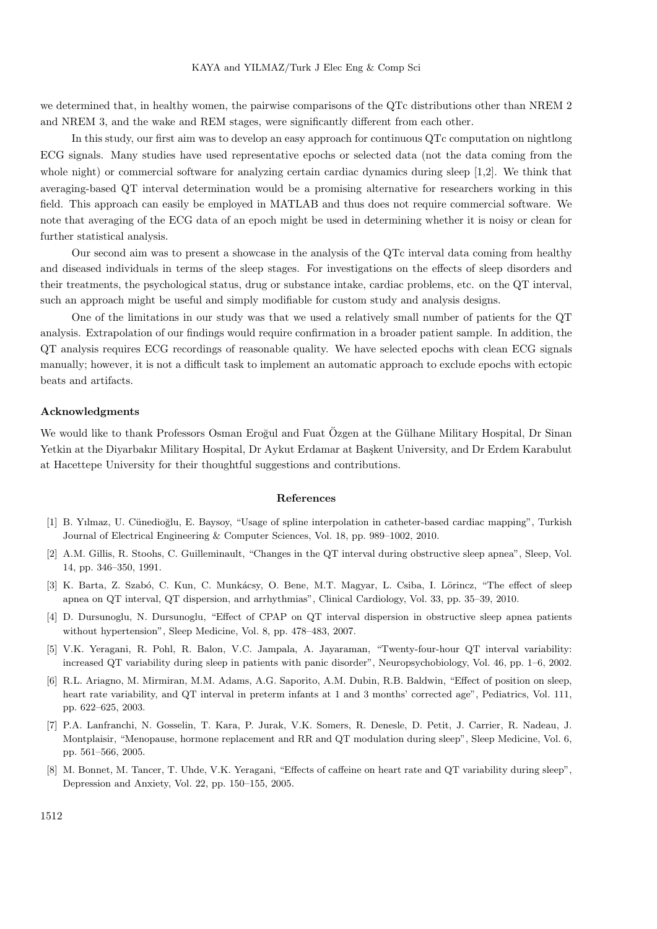we determined that, in healthy women, the pairwise comparisons of the QTc distributions other than NREM 2 and NREM 3, and the wake and REM stages, were significantly different from each other.

In this study, our first aim was to develop an easy approach for continuous QTc computation on nightlong ECG signals. Many studies have used representative epochs or selected data (not the data coming from the whole night) or commercial software for analyzing certain cardiac dynamics during sleep [1,2]. We think that averaging-based QT interval determination would be a promising alternative for researchers working in this field. This approach can easily be employed in MATLAB and thus does not require commercial software. We note that averaging of the ECG data of an epoch might be used in determining whether it is noisy or clean for further statistical analysis.

Our second aim was to present a showcase in the analysis of the QTc interval data coming from healthy and diseased individuals in terms of the sleep stages. For investigations on the effects of sleep disorders and their treatments, the psychological status, drug or substance intake, cardiac problems, etc. on the QT interval, such an approach might be useful and simply modifiable for custom study and analysis designs.

One of the limitations in our study was that we used a relatively small number of patients for the QT analysis. Extrapolation of our findings would require confirmation in a broader patient sample. In addition, the QT analysis requires ECG recordings of reasonable quality. We have selected epochs with clean ECG signals manually; however, it is not a difficult task to implement an automatic approach to exclude epochs with ectopic beats and artifacts.

## **Acknowledgments**

We would like to thank Professors Osman Eroğul and Fuat Özgen at the Gülhane Military Hospital, Dr Sinan Yetkin at the Diyarbakır Military Hospital, Dr Aykut Erdamar at Başkent University, and Dr Erdem Karabulut at Hacettepe University for their thoughtful suggestions and contributions.

#### **References**

- [1] B. Yılmaz, U. Cünedioğlu, E. Baysoy, "Usage of spline interpolation in catheter-based cardiac mapping", Turkish Journal of Electrical Engineering & Computer Sciences, Vol. 18, pp. 989–1002, 2010.
- [2] A.M. Gillis, R. Stoohs, C. Guilleminault, "Changes in the QT interval during obstructive sleep apnea", Sleep, Vol. 14, pp. 346–350, 1991.
- [3] K. Barta, Z. Szabó, C. Kun, C. Munkácsy, O. Bene, M.T. Magyar, L. Csiba, I. Lörincz, "The effect of sleep apnea on QT interval, QT dispersion, and arrhythmias", Clinical Cardiology, Vol. 33, pp. 35–39, 2010.
- [4] D. Dursunoglu, N. Dursunoglu, "Effect of CPAP on QT interval dispersion in obstructive sleep apnea patients without hypertension", Sleep Medicine, Vol. 8, pp. 478–483, 2007.
- [5] V.K. Yeragani, R. Pohl, R. Balon, V.C. Jampala, A. Jayaraman, "Twenty-four-hour QT interval variability: increased QT variability during sleep in patients with panic disorder", Neuropsychobiology, Vol. 46, pp. 1–6, 2002.
- [6] R.L. Ariagno, M. Mirmiran, M.M. Adams, A.G. Saporito, A.M. Dubin, R.B. Baldwin, "Effect of position on sleep, heart rate variability, and QT interval in preterm infants at 1 and 3 months' corrected age", Pediatrics, Vol. 111, pp. 622–625, 2003.
- [7] P.A. Lanfranchi, N. Gosselin, T. Kara, P. Jurak, V.K. Somers, R. Denesle, D. Petit, J. Carrier, R. Nadeau, J. Montplaisir, "Menopause, hormone replacement and RR and QT modulation during sleep", Sleep Medicine, Vol. 6, pp. 561–566, 2005.
- [8] M. Bonnet, M. Tancer, T. Uhde, V.K. Yeragani, "Effects of caffeine on heart rate and QT variability during sleep", Depression and Anxiety, Vol. 22, pp. 150–155, 2005.

1512